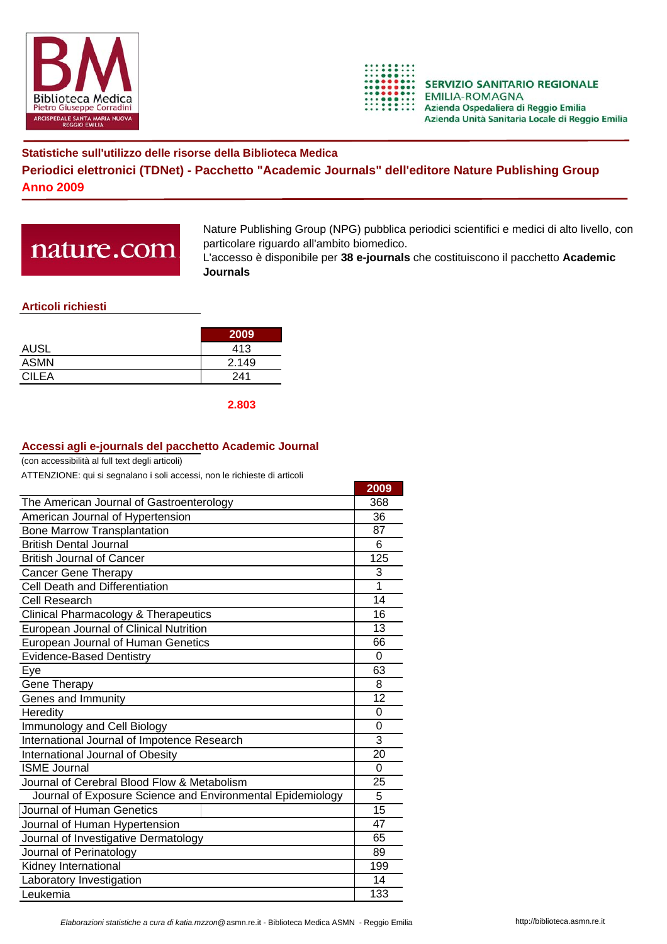



## **Statistiche sull'utilizzo delle risorse della Biblioteca Medica Periodici elettronici (TDNet) - Pacchetto "Academic Journals" dell'editore Nature Publishing Group Anno 2009**

# nature.com

Nature Publishing Group (NPG) pubblica periodici scientifici e medici di alto livello, con particolare riguardo all'ambito biomedico.

L'accesso è disponibile per **38 e-journals** che costituiscono il pacchetto **Academic Journals**

### **Articoli richiesti**

|              | 2009  |
|--------------|-------|
| <b>AUSL</b>  | 413   |
| <b>ASMN</b>  | 2.149 |
| <b>CILEA</b> | 241   |

**2.803**

#### **Accessi agli e-journals del pacchetto Academic Journal**

(con accessibilità al full text degli articoli)

ATTENZIONE: qui si segnalano i soli accessi, non le richieste di articoli

|                                                            | 2009            |
|------------------------------------------------------------|-----------------|
| The American Journal of Gastroenterology                   |                 |
| American Journal of Hypertension                           | 36              |
| <b>Bone Marrow Transplantation</b>                         | 87              |
| <b>British Dental Journal</b>                              | 6               |
| <b>British Journal of Cancer</b>                           | 125             |
| <b>Cancer Gene Therapy</b>                                 | 3               |
| Cell Death and Differentiation                             | 1               |
| Cell Research                                              | 14              |
| <b>Clinical Pharmacology &amp; Therapeutics</b>            | 16              |
| European Journal of Clinical Nutrition                     | 13              |
| European Journal of Human Genetics                         |                 |
| <b>Evidence-Based Dentistry</b>                            |                 |
| Eye                                                        | 63              |
| Gene Therapy                                               | 8               |
| Genes and Immunity                                         |                 |
| Heredity                                                   | 0               |
| Immunology and Cell Biology                                |                 |
| International Journal of Impotence Research                |                 |
| International Journal of Obesity                           | $\overline{20}$ |
| <b>ISME Journal</b>                                        | 0               |
| Journal of Cerebral Blood Flow & Metabolism                |                 |
| Journal of Exposure Science and Environmental Epidemiology | 5               |
| Journal of Human Genetics                                  | 15              |
| Journal of Human Hypertension                              | 47              |
| Journal of Investigative Dermatology                       |                 |
| Journal of Perinatology                                    |                 |
| Kidney International                                       |                 |
| Laboratory Investigation                                   |                 |
| Leukemia                                                   | 133             |